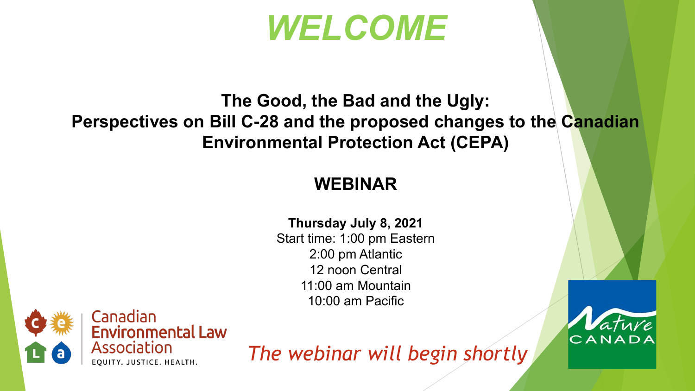## *WELCOME*

#### **The Good, the Bad and the Ugly: Perspectives on Bill C-28 and the proposed changes to the Canadian Environmental Protection Act (CEPA)**

### **WEBINAR**

#### **Thursday July 8, 2021**

Start time: 1:00 pm Eastern 2:00 pm Atlantic 12 noon Central 11:00 am Mountain 10:00 am Pacific



*The webinar will begin shortly*

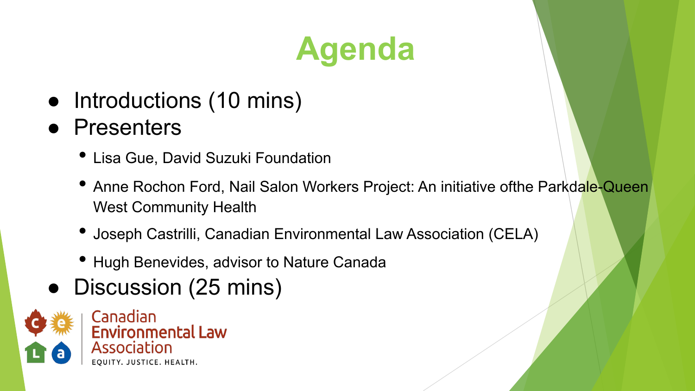# **Agenda**

- Introductions (10 mins)
- Presenters
	- Lisa Gue, David Suzuki Foundation
	- Anne Rochon Ford, Nail Salon Workers Project: An initiative ofthe Parkdale-Queen West Community Health
	- Joseph Castrilli, Canadian Environmental Law Association (CELA)
	- Hugh Benevides, advisor to Nature Canada
- Discussion (25 mins)

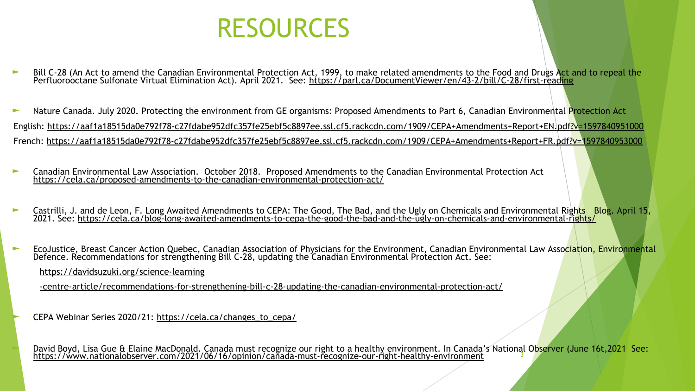

- Bill C-28 (An Act to amend the Canadian Environmental Protection Act, 1999, to make related amendments to the Food and Drugs Act and to repeal the Perfluorooctane Sulfonate Virtual Elimination Act). April 2021. See: <https://parl.ca/DocumentViewer/en/43-2/bill/C-28/first-reading>
- ► Nature Canada. July 2020. Protecting the environment from GE organisms: Proposed Amendments to Part 6, Canadian Environmental Protection Act English:<https://aaf1a18515da0e792f78-c27fdabe952dfc357fe25ebf5c8897ee.ssl.cf5.rackcdn.com/1909/CEPA+Amendments+Report+EN.pdf?v=1597840951000> French: <https://aaf1a18515da0e792f78-c27fdabe952dfc357fe25ebf5c8897ee.ssl.cf5.rackcdn.com/1909/CEPA+Amendments+Report+FR.pdf?v=1597840953000>
- ► Canadian Environmental Law Association. October 2018. Proposed Amendments to the Canadian Environmental Protection Act <https://cela.ca/proposed-amendments-to-the-canadian-environmental-protection-act/>
- ► Castrilli, J. and de Leon, F. Long Awaited Amendments to CEPA: The Good, The Bad, and the Ugly on Chemicals and Environmental Rights Blog. April 15, 2021. See: <u>https://cela.ca/blog-long-awaited-amendments-to-cepa-the-good-the-bad-and-the-ugly-on-chemicals-and-environmental-rights/</u>
- ► EcoJustice, Breast Cancer Action Quebec, Canadian Association of Physicians for the Environment, Canadian Environmental Law Association, Environmental Defence. Recommendations for strengthening Bill C-28, updating the Canadian Environmental Protection Act. See:

[https://davidsuzuki.org/science-learning](https://davidsuzuki.org/science-learning-centre-article/recommendations-for-strengthening-bill-c-28-updating-the-canadian-environmental-protection-act/)

[-centre-article/recommendations-for-strengthening-bill-c-28-updating-the-canadian-environmental-protection-act/](https://davidsuzuki.org/science-learning-centre-article/recommendations-for-strengthening-bill-c-28-updating-the-canadian-environmental-protection-act/)

CEPA Webinar Series 2020/21: [https://cela.ca/changes\\_to\\_cepa/](https://cela.ca/changes_to_cepa/)

► David Boyd, Lisa Gue & Elaine MacDonald. Canada must recognize our right to a healthy environment. In Canada's National Observer (June 16t,2021 See: <https://www.nationalobserver.com/2021/06/16/opinion/canada-must-recognize-our-right-healthy-environment> <sup>3</sup>